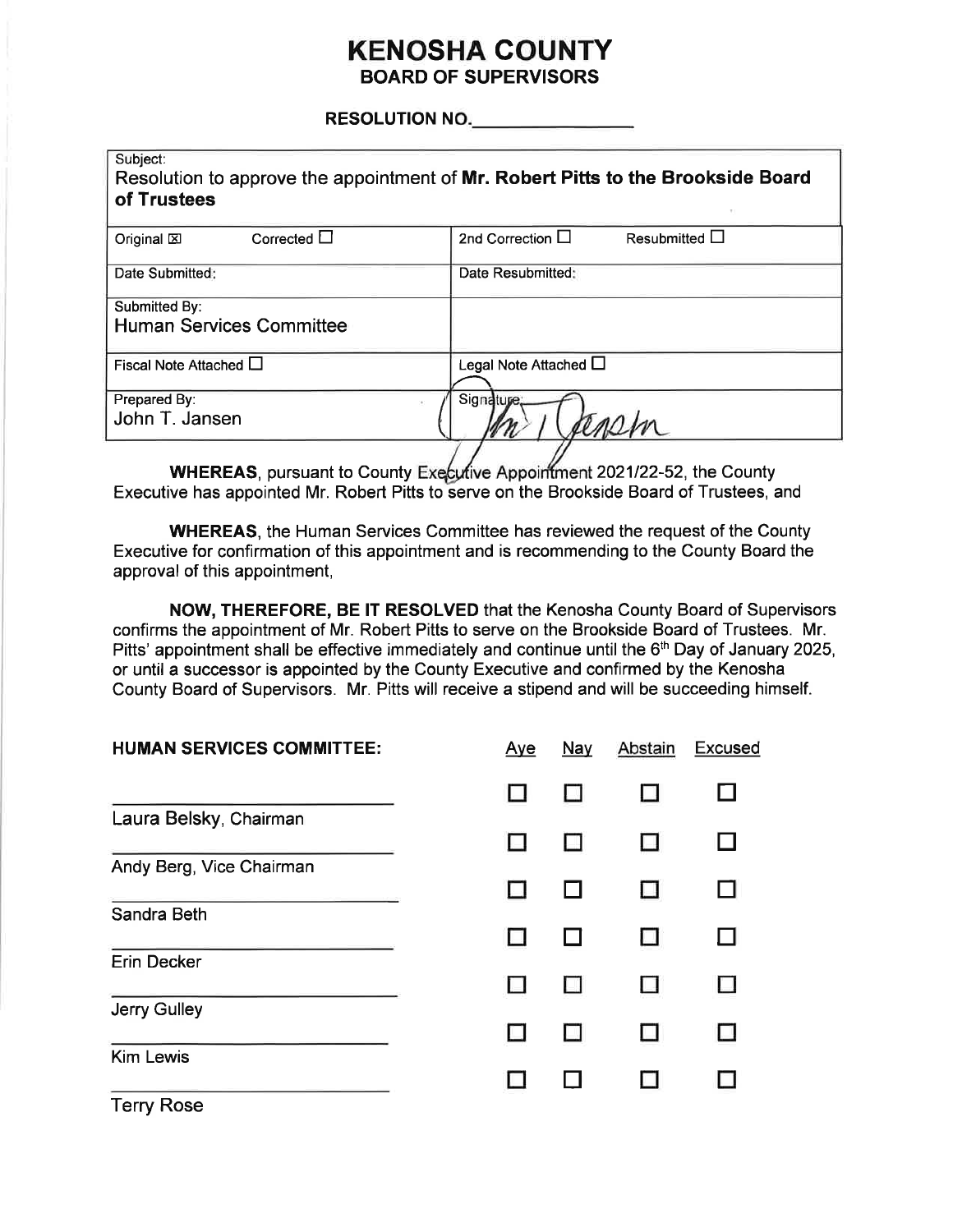#### **KENOSHA COUNTY BOARD OF SUPERVISORS**

RESOLUTION NO.

| Subject:<br>of Trustees                          | Resolution to approve the appointment of Mr. Robert Pitts to the Brookside Board |
|--------------------------------------------------|----------------------------------------------------------------------------------|
| Corrected $\square$<br>Original $\boxtimes$      | 2nd Correction $\Box$<br>Resubmitted $\Box$                                      |
| Date Submitted:                                  | Date Resubmitted:                                                                |
| Submitted By:<br><b>Human Services Committee</b> |                                                                                  |
| Fiscal Note Attached $\Box$                      | Legal Note Attached $\square$                                                    |
| Prepared By:<br>John T. Jansen                   | Signature;                                                                       |

WHEREAS, pursuant to County Executive Appointment 2021/22-52, the County Executive has appointed Mr. Robert Pitts to serve on the Brookside Board of Trustees, and

**WHEREAS, the Human Services Committee has reviewed the request of the County** Executive for confirmation of this appointment and is recommending to the County Board the approval of this appointment,

NOW, THEREFORE, BE IT RESOLVED that the Kenosha County Board of Supervisors confirms the appointment of Mr. Robert Pitts to serve on the Brookside Board of Trustees. Mr. Pitts' appointment shall be effective immediately and continue until the 6<sup>th</sup> Day of January 2025, or until a successor is appointed by the County Executive and confirmed by the Kenosha County Board of Supervisors. Mr. Pitts will receive a stipend and will be succeeding himself.

| <b>HUMAN SERVICES COMMITTEE:</b> | Aye | <b>Nay</b> | Abstain | <b>Excused</b> |
|----------------------------------|-----|------------|---------|----------------|
|                                  |     |            |         | П              |
| Laura Belsky, Chairman           |     |            |         |                |
| Andy Berg, Vice Chairman         |     |            |         |                |
| Sandra Beth                      |     |            |         |                |
| Erin Decker                      |     |            |         |                |
| Jerry Gulley                     |     |            |         |                |
| <b>Kim Lewis</b>                 |     |            |         |                |
| <b>Terry Rose</b>                |     |            |         |                |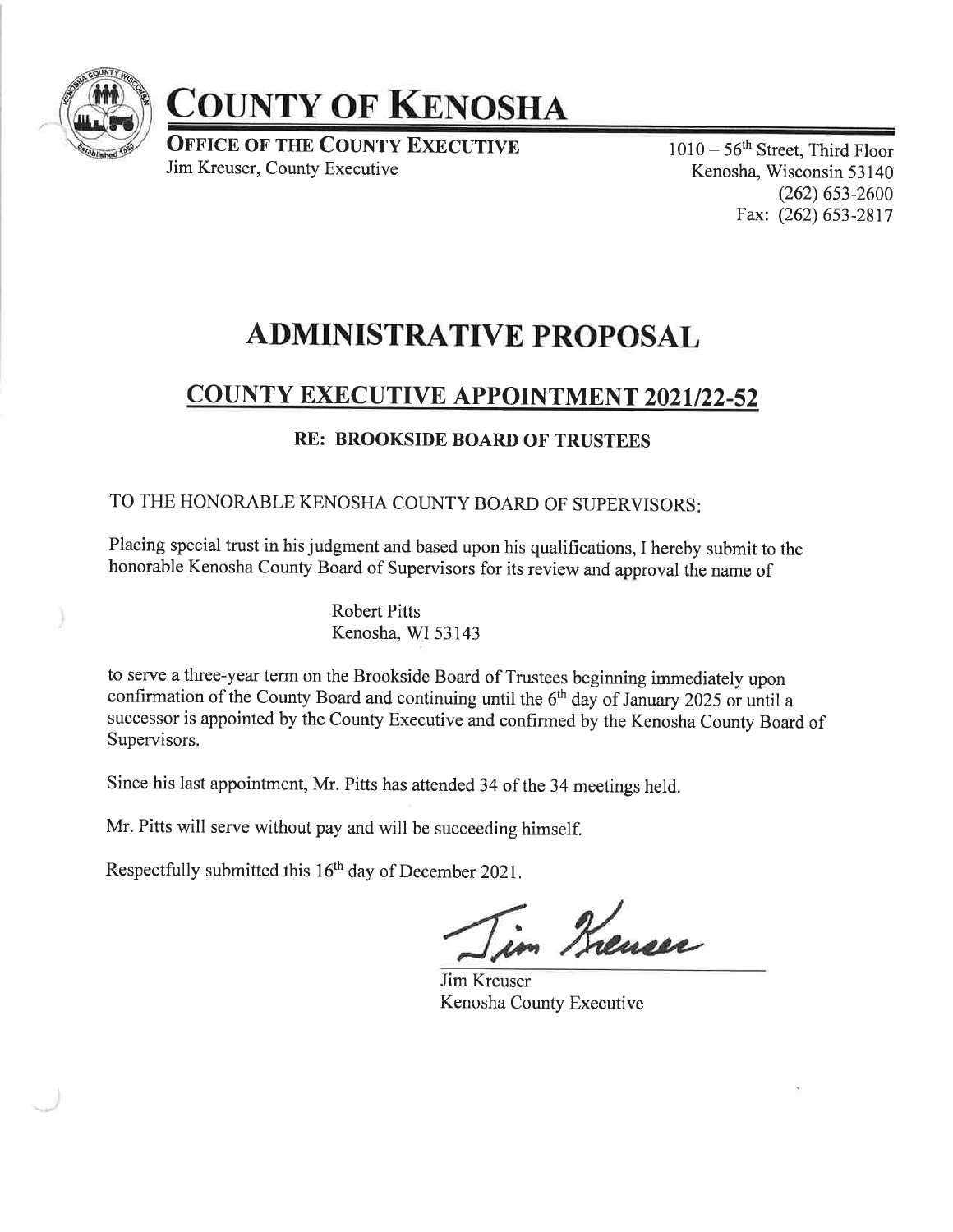

# COUNTY OF KENOSHA

OFFICE OF THE COUNTY EXECUTIVE Jim Kreuser, County Executive

<sup>1010</sup>- 56th Street, Third Floor Kenosha, Wisconsin 53 140 (262) 6s3-2600 Fax: (262) 653-2817

# ADMINISTRATIVE PROPOSAL

### COUNTY EXECUTIVE APPOINTMENT 2021/22-52

#### RE: BROOKSIDE BOARD OF TRUSTEES

TO THE HONORABLE KENOSHA COUNTY BOARD OF SUPERVISORS

Placing special trust in his judgment and based upon his qualifications, I hereby submit to the honorable Kenosha County Board of Supervisors for its review and approval the name of

> Robert Pitts Kenosha, WI 53143

to serye a three-year term on the Brookside Board of Trustees beginning immediately upon confirmation of the County Board and continuing until the  $6<sup>th</sup>$  day of January 2025 or until a successor is appointed by the County Executive and confirmed by the Kenosha County Board of Supervisors.

Since his last appointment, Mr. Pitts has attended 34 of the 34 meetings held.

Mr. Pitts will serve without pay and will be succeeding himself.

Respectfully submitted this 16<sup>th</sup> day of December 2021.

in Kreuser

Jim Kreuser Kenosha County Executive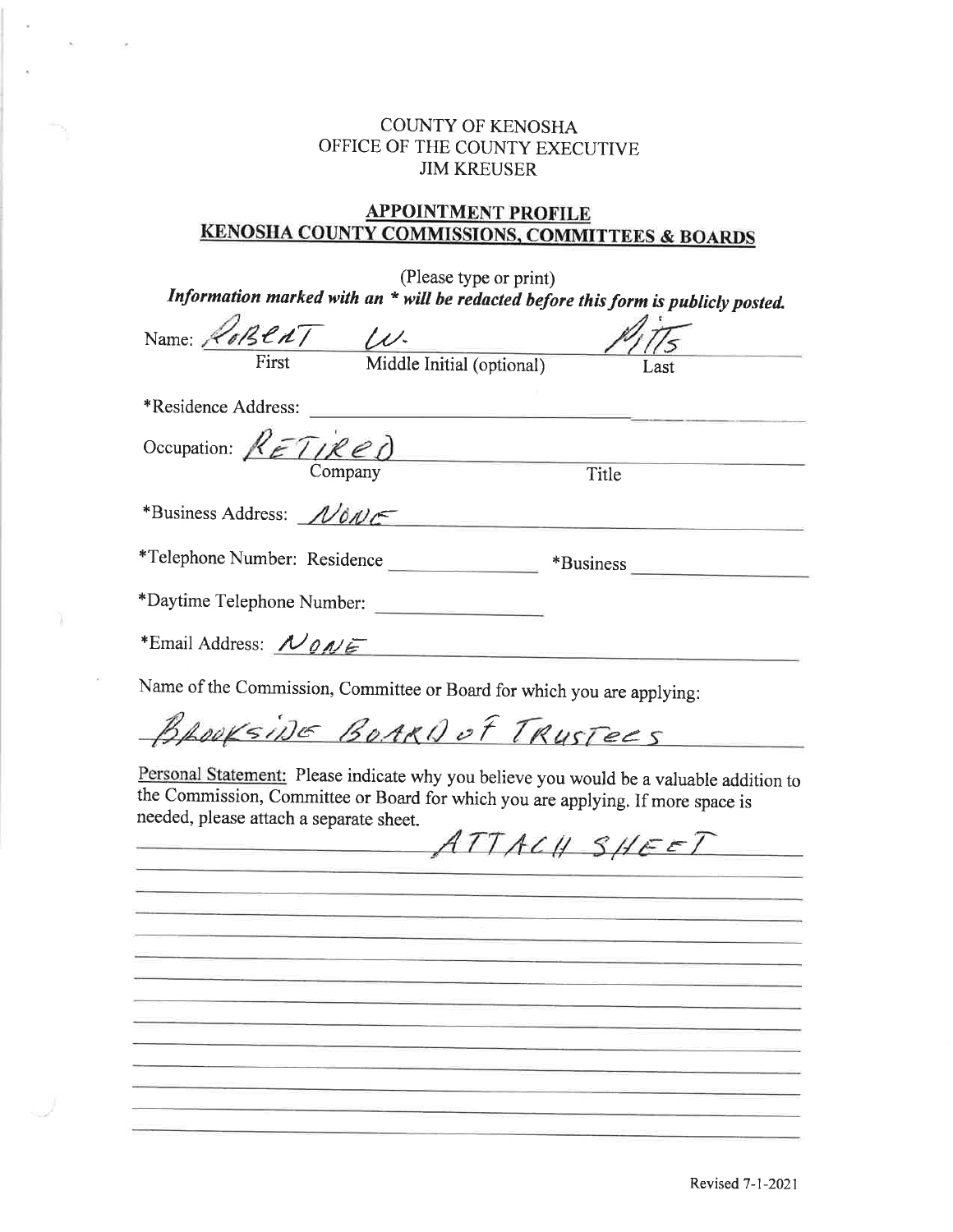#### COLNTY OF KENOSHA OFFICE OF THE COUNTY EXECUTIVE JIM KREUSER

#### **APPOINTMENT PROFILE** KENOSHA COUNTY COMMISSIONS. COMMITTEES & BOARDS

| (Please type or print)                                                                                                                                                                                                |
|-----------------------------------------------------------------------------------------------------------------------------------------------------------------------------------------------------------------------|
| Information marked with an * will be redacted before this form is publicly posted.                                                                                                                                    |
| Name: RoBENT W.                                                                                                                                                                                                       |
| First<br>Middle Initial (optional)<br>Last                                                                                                                                                                            |
| *Residence Address:                                                                                                                                                                                                   |
| Occupation: $RET(Red)$                                                                                                                                                                                                |
| Company<br>Title                                                                                                                                                                                                      |
| *Business Address: NONE                                                                                                                                                                                               |
| *Telephone Number: Residence<br>*Business                                                                                                                                                                             |
| *Daytime Telephone Number:                                                                                                                                                                                            |
| *Email Address: NONE                                                                                                                                                                                                  |
| Name of the Commission, Committee or Board for which you are applying:                                                                                                                                                |
| BLOOKSING BOARD of TRUSTEES                                                                                                                                                                                           |
| Personal Statement: Please indicate why you believe you would be a valuable addition to<br>the Commission, Committee or Board for which you are applying. If more space is<br>needed, please attach a separate sheet. |
| ATTACH SHEET<br><u> 대표 전</u> 문 : 1999년 1월 1일 : 1999년 1월 1일 : 1999년 1월 1일 : 1999년 1월 1일 : 1999년 1월 1일 : 1999년 1월 1일 : 1999년 1월 1일 : 1999년                                                                              |
|                                                                                                                                                                                                                       |
|                                                                                                                                                                                                                       |
|                                                                                                                                                                                                                       |
|                                                                                                                                                                                                                       |
|                                                                                                                                                                                                                       |
|                                                                                                                                                                                                                       |
|                                                                                                                                                                                                                       |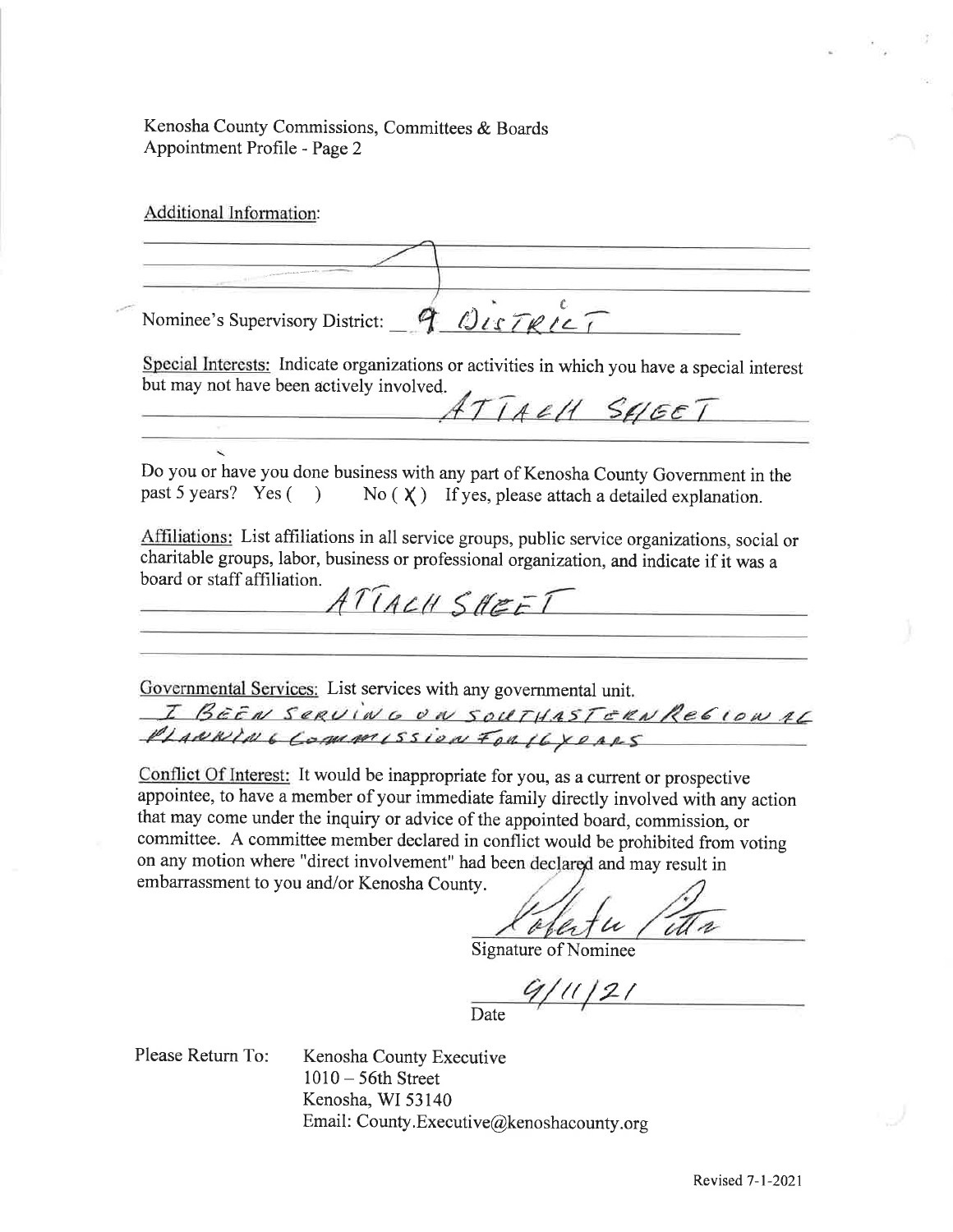Kenosha County Commissions, Committees & Boards Appointment Profile - Page 2

Additional Information:

Nominee's Supervisory District: 9 OLSTRIC Special Interests: Indicate organizations or activities in which you have a special interest but may not have been actively involved.<br> $ATTACHSGET$ Do you or have you done business with any part of Kenosha County Government in the past 5 years? Yes ( $\bigcirc$ ) No ( $\chi$ ) If yes, please attach a detailed explanation. ) No ( $\chi$ ) If yes, please attach a detailed explanation. Affrliations: List affiliations in all service groups, public service organizations, social or charitable groups, labor, business or professional organization, and indicate if it was <sup>a</sup> board or staff affiliation. ATTACH SHEET Govemmental Services: List services with any govemmental unit. I BEEN SERVING ON SOUTHASTERN REGION AL<br>PLANNING COMMISSION FOR 16 YEARS

Conflict Of Interest: It would be inappropriate for you, as a current or prospective appointee, to have a member of your immediate family directly involved with any action that may come under the inquiry or advice of the appointed board, commission, or committee. A committee member declared in conflict would be prohibited from voting on any motion where "direct involvement" had been declared and may result in embarrassment to you and/or Kenosha County.

 $\mu$  /

Signature of Nominee

 $9/11/21$ Date

Please Return To:

Kenosha County Executive <sup>1010</sup>- 56th Street Kenosha, WI 53140 Email: County. Executive@kenoshacounty.org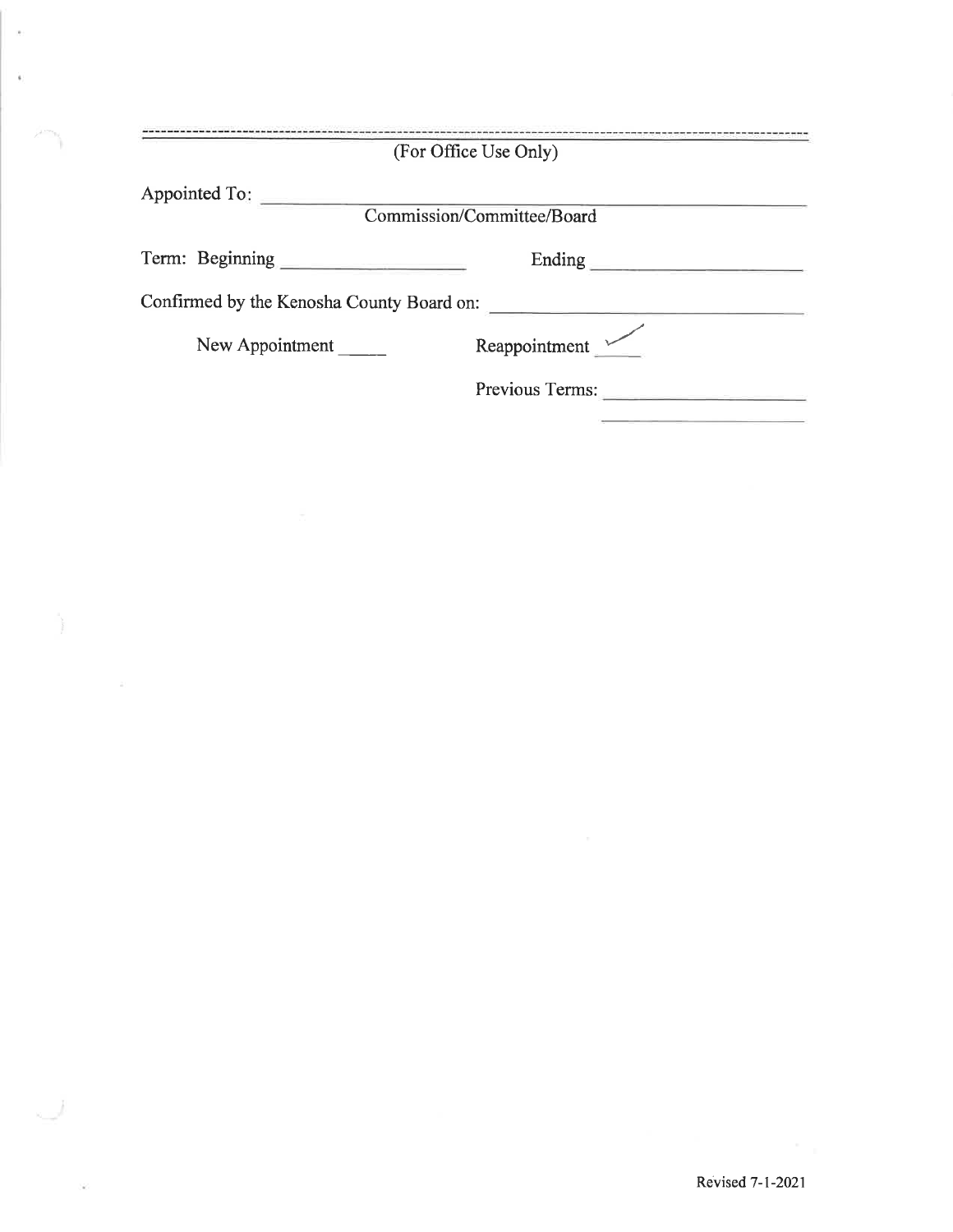|                                           | (For Office Use Only)      |
|-------------------------------------------|----------------------------|
| Appointed To:                             | Commission/Committee/Board |
| Term: Beginning                           | Ending                     |
| Confirmed by the Kenosha County Board on: |                            |
| New Appointment                           | Reappointment              |
|                                           | Previous Terms:            |

 $\bar{\nu}$ 

 $\hat{\mathbf{s}}$ 

 $\overline{\phantom{a}}$ 

 $\vec{n}$  )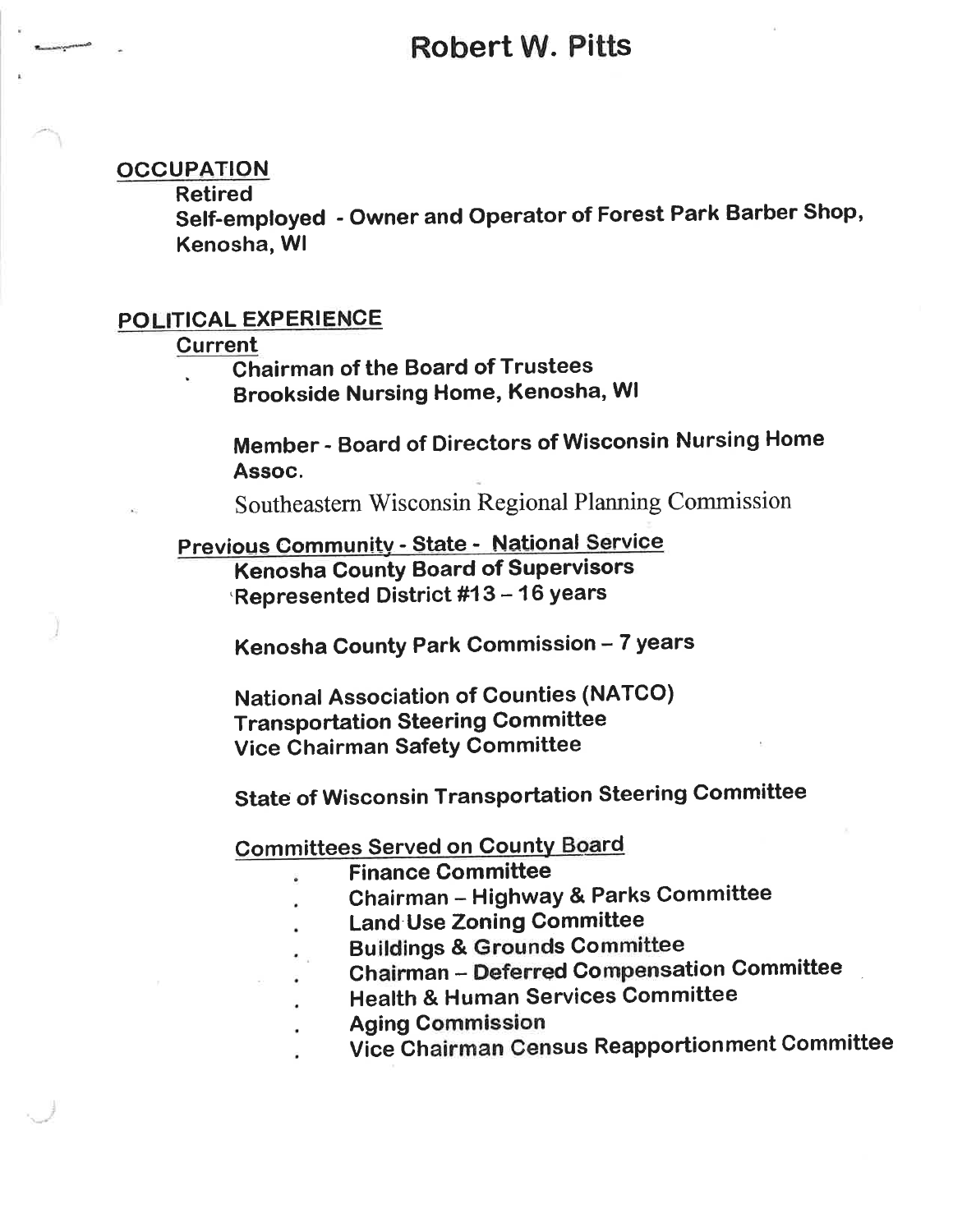## Robert W. Pitts

#### **OCCUPATION**

Retired

Self-employed - Owner and Operator of Forest Park Barber Shop, Kenosha, Wl

#### POLITICAL EXPERIENCE

#### **Current**

Chairman of the Board of Trustees

Brookside Nursing Home, Kenosha, Wl

Member - Board of Directors of Wisconsin Nursing Home Assoc.

Southeastern Wisconsin Regional Planning Commission

Previous Community - State - National Service **Kenosha County Board of Supervisors** Represented District #13 - 16 years

Kenosha County Park Commission - 7 years

National Association of Counties (NATCO) Transportation Steering Committee Vice Chairman Safety Committee

State of Wisconsin Transportation Steering Committee

**Committees Served on County Board** 

- Finance Committee
- Chairman Highway & Parks Committee
- Land Use Zoning Committee
- Buildings & Grounds Committee
- Chairman Deferred Compensation Committee
- Health & Human Services Committee
- Aging Commission
- Vice Chairman Census Reapportionment Committee